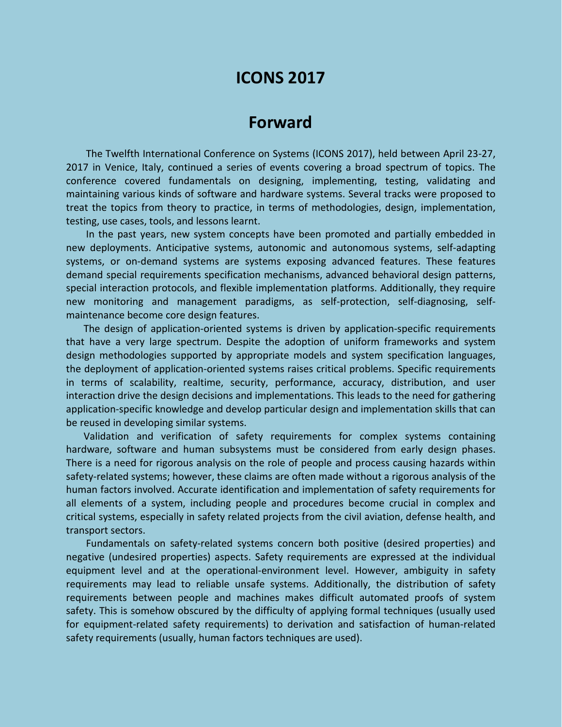# **ICONS 2017**

## **Forward**

The Twelfth International Conference on Systems (ICONS 2017), held between April 23-27, 2017 in Venice, Italy, continued a series of events covering a broad spectrum of topics. The conference covered fundamentals on designing, implementing, testing, validating and maintaining various kinds of software and hardware systems. Several tracks were proposed to treat the topics from theory to practice, in terms of methodologies, design, implementation, testing, use cases, tools, and lessons learnt.

In the past years, new system concepts have been promoted and partially embedded in new deployments. Anticipative systems, autonomic and autonomous systems, self-adapting systems, or on-demand systems are systems exposing advanced features. These features demand special requirements specification mechanisms, advanced behavioral design patterns, special interaction protocols, and flexible implementation platforms. Additionally, they require new monitoring and management paradigms, as self-protection, self-diagnosing, selfmaintenance become core design features.

The design of application-oriented systems is driven by application-specific requirements that have a very large spectrum. Despite the adoption of uniform frameworks and system design methodologies supported by appropriate models and system specification languages, the deployment of application-oriented systems raises critical problems. Specific requirements in terms of scalability, realtime, security, performance, accuracy, distribution, and user interaction drive the design decisions and implementations. This leads to the need for gathering application-specific knowledge and develop particular design and implementation skills that can be reused in developing similar systems.

Validation and verification of safety requirements for complex systems containing hardware, software and human subsystems must be considered from early design phases. There is a need for rigorous analysis on the role of people and process causing hazards within safety-related systems; however, these claims are often made without a rigorous analysis of the human factors involved. Accurate identification and implementation of safety requirements for all elements of a system, including people and procedures become crucial in complex and critical systems, especially in safety related projects from the civil aviation, defense health, and transport sectors.

Fundamentals on safety-related systems concern both positive (desired properties) and negative (undesired properties) aspects. Safety requirements are expressed at the individual equipment level and at the operational-environment level. However, ambiguity in safety requirements may lead to reliable unsafe systems. Additionally, the distribution of safety requirements between people and machines makes difficult automated proofs of system safety. This is somehow obscured by the difficulty of applying formal techniques (usually used for equipment-related safety requirements) to derivation and satisfaction of human-related safety requirements (usually, human factors techniques are used).